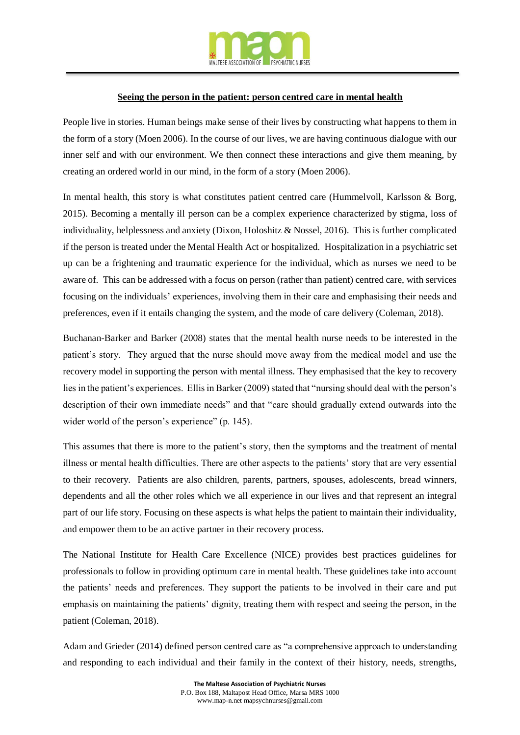

## **Seeing the person in the patient: person centred care in mental health**

People live in stories. Human beings make sense of their lives by constructing what happens to them in the form of a story (Moen 2006). In the course of our lives, we are having continuous dialogue with our inner self and with our environment. We then connect these interactions and give them meaning, by creating an ordered world in our mind, in the form of a story (Moen 2006).

In mental health, this story is what constitutes patient centred care (Hummelvoll, Karlsson & Borg, 2015). Becoming a mentally ill person can be a complex experience characterized by stigma, loss of individuality, helplessness and anxiety (Dixon, Holoshitz & Nossel, 2016). This is further complicated if the person is treated under the Mental Health Act or hospitalized. Hospitalization in a psychiatric set up can be a frightening and traumatic experience for the individual, which as nurses we need to be aware of. This can be addressed with a focus on person (rather than patient) centred care, with services focusing on the individuals' experiences, involving them in their care and emphasising their needs and preferences, even if it entails changing the system, and the mode of care delivery (Coleman, 2018).

Buchanan-Barker and Barker (2008) states that the mental health nurse needs to be interested in the patient's story. They argued that the nurse should move away from the medical model and use the recovery model in supporting the person with mental illness. They emphasised that the key to recovery lies in the patient's experiences. Ellis in Barker (2009) stated that "nursing should deal with the person's description of their own immediate needs" and that "care should gradually extend outwards into the wider world of the person's experience" (p. 145).

This assumes that there is more to the patient's story, then the symptoms and the treatment of mental illness or mental health difficulties. There are other aspects to the patients' story that are very essential to their recovery. Patients are also children, parents, partners, spouses, adolescents, bread winners, dependents and all the other roles which we all experience in our lives and that represent an integral part of our life story. Focusing on these aspects is what helps the patient to maintain their individuality, and empower them to be an active partner in their recovery process.

The National Institute for Health Care Excellence (NICE) provides best practices guidelines for professionals to follow in providing optimum care in mental health. These guidelines take into account the patients' needs and preferences. They support the patients to be involved in their care and put emphasis on maintaining the patients' dignity, treating them with respect and seeing the person, in the patient (Coleman, 2018).

Adam and Grieder (2014) defined person centred care as "a comprehensive approach to understanding and responding to each individual and their family in the context of their history, needs, strengths,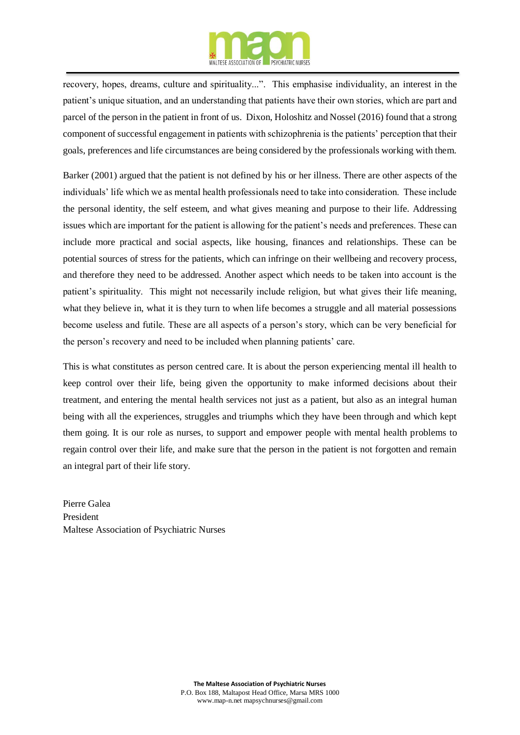

recovery, hopes, dreams, culture and spirituality...". This emphasise individuality, an interest in the patient's unique situation, and an understanding that patients have their own stories, which are part and parcel of the person in the patient in front of us. Dixon, Holoshitz and Nossel (2016) found that a strong component of successful engagement in patients with schizophrenia is the patients' perception that their goals, preferences and life circumstances are being considered by the professionals working with them.

Barker (2001) argued that the patient is not defined by his or her illness. There are other aspects of the individuals' life which we as mental health professionals need to take into consideration. These include the personal identity, the self esteem, and what gives meaning and purpose to their life. Addressing issues which are important for the patient is allowing for the patient's needs and preferences. These can include more practical and social aspects, like housing, finances and relationships. These can be potential sources of stress for the patients, which can infringe on their wellbeing and recovery process, and therefore they need to be addressed. Another aspect which needs to be taken into account is the patient's spirituality. This might not necessarily include religion, but what gives their life meaning, what they believe in, what it is they turn to when life becomes a struggle and all material possessions become useless and futile. These are all aspects of a person's story, which can be very beneficial for the person's recovery and need to be included when planning patients' care.

This is what constitutes as person centred care. It is about the person experiencing mental ill health to keep control over their life, being given the opportunity to make informed decisions about their treatment, and entering the mental health services not just as a patient, but also as an integral human being with all the experiences, struggles and triumphs which they have been through and which kept them going. It is our role as nurses, to support and empower people with mental health problems to regain control over their life, and make sure that the person in the patient is not forgotten and remain an integral part of their life story.

Pierre Galea President Maltese Association of Psychiatric Nurses